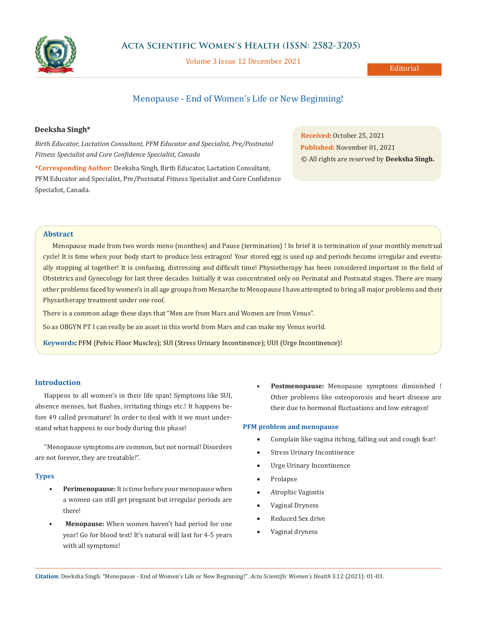

# **Acta Scientific Women's Health (ISSN: 2582-3205)**

Volume 3 Issue 12 December 2021

Editorial

# Menopause - End of Women's Life or New Beginning!

# **Deeksha Singh\***

*Birth Educator, Lactation Consultant, PFM Educator and Specialist, Pre/Postnatal Fitness Specialist and Core Confidence Specialist, Canada*

**\*Corresponding Author:** Deeksha Singh, Birth Educator, Lactation Consultant, PFM Educator and Specialist, Pre/Postnatal Fitness Specialist and Core Confidence Specialist, Canada.

**Received:** October 25, 2021 **Published:** November 01, 2021 © All rights are reserved by **Deeksha Singh.**

## **Abstract**

Menopause made from two words meno (monthen) and Pause (termination) ! In brief it is termination of your monthly menstrual cycle! It is time when your body start to produce less estragon! Your stored egg is used up and periods become irregular and eventually stopping al together! It is confusing, distressing and difficult time! Physiotherapy has been considered important in the field of Obstetrics and Gynecology for last three decades. Initially it was concentrated only on Perinatal and Postnatal stages. There are many other problems faced by women's in all age groups from Menarche to Menopause I have attempted to bring all major problems and their Physiotherapy treatment under one roof.

There is a common adage these days that "Men are from Mars and Women are from Venus".

So as OBGYN PT I can really be an asset in this world from Mars and can make my Venus world.

**Keywords:** PFM (Pelvic Floor Muscles); SUI (Stress Urinary Incontinence); UUI (Urge Incontinence)!

# **Introduction**

Happens to all women's in their life span! Symptoms like SUI, absence menses, hot flushes, irritating things etc.! It happens before 49 called premature! In order to deal with it we must understand what happens to our body during this phase!

"Menopause symptoms are common, but not normal! Disorders are not forever, they are treatable!".

#### **Types**

- **• Perimenopause:** It is time before your menopause when a women can still get pregnant but irregular periods are there!
- **Menopause:** When women haven't had period for one year! Go for blood test! It's natural will last for 4-5 years with all symptoms!

• **Postmenopause:** Menopause symptoms diminished ! Other problems like osteoporosis and heart disease are their due to hormonal fluctuations and low estragon!

# **PFM problem and menopause**

- Complain like vagina itching, falling out and cough fear!
- Stress Urinary Incontinence
- Urge Urinary Incontinence
- **Prolapse**
- Atrophic Vaginitis
- • Vaginal Dryness
- Reduced Sex drive
- Vaginal dryness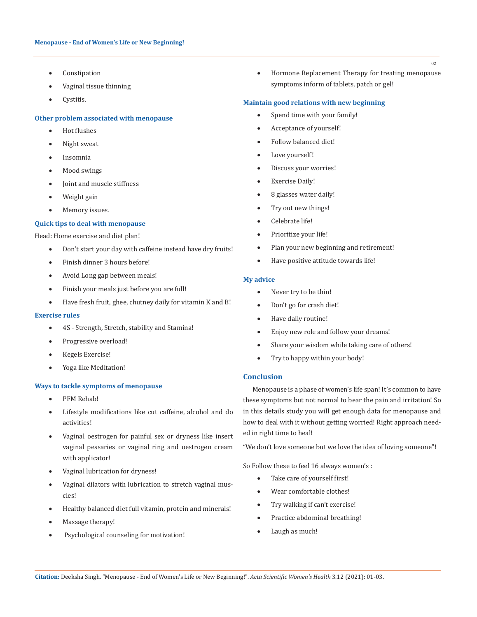- Constipation
- Vaginal tissue thinning
- Cystitis.

## **Other problem associated with menopause**

- • Hot flushes
- Night sweat
- • Insomnia
- Mood swings
- • Joint and muscle stiffness
- Weight gain
- Memory issues.

#### **Quick tips to deal with menopause**

Head: Home exercise and diet plan!

- Don't start your day with caffeine instead have dry fruits!
- • Finish dinner 3 hours before!
- Avoid Long gap between meals!
- Finish your meals just before you are full!
- Have fresh fruit, ghee, chutney daily for vitamin K and B!

#### **Exercise rules**

- • 4S Strength, Stretch, stability and Stamina!
- Progressive overload!
- Kegels Exercise!
- • Yoga like Meditation!

#### **Ways to tackle symptoms of menopause**

- PFM Rehab!
- Lifestyle modifications like cut caffeine, alcohol and do activities!
- Vaginal oestrogen for painful sex or dryness like insert vaginal pessaries or vaginal ring and oestrogen cream with applicator!
- Vaginal lubrication for dryness!
- • Vaginal dilators with lubrication to stretch vaginal muscles!
- Healthy balanced diet full vitamin, protein and minerals!
- Massage therapy!
- Psychological counseling for motivation!

• Hormone Replacement Therapy for treating menopause symptoms inform of tablets, patch or gel!

## **Maintain good relations with new beginning**

- Spend time with your family!
- Acceptance of yourself!
- Follow balanced diet!
- Love yourself!
- Discuss your worries!
- **Exercise Daily!**
- 8 glasses water daily!
- Try out new things!
- Celebrate life!
- Prioritize your life!
- Plan your new beginning and retirement!
- • Have positive attitude towards life!

#### **My advice**

- Never try to be thin!
- Don't go for crash diet!
- • Have daily routine!
- • Enjoy new role and follow your dreams!
- Share your wisdom while taking care of others!
- Try to happy within your body!

# **Conclusion**

Menopause is a phase of women's life span! It's common to have these symptoms but not normal to bear the pain and irritation! So in this details study you will get enough data for menopause and how to deal with it without getting worried! Right approach needed in right time to heal!

"We don't love someone but we love the idea of loving someone"!

So Follow these to feel 16 always women's :

- • Take care of yourself first!
- Wear comfortable clothes!
- • Try walking if can't exercise!
- Practice abdominal breathing!
- • Laugh as much!